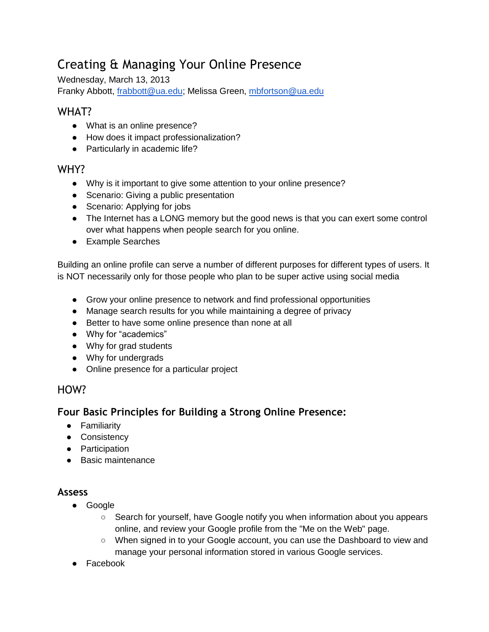# Creating & Managing Your Online Presence

Wednesday, March 13, 2013 Franky Abbott, [frabbott@ua.edu;](mailto:frabbott@ua.edu) Melissa Green, [mbfortson@ua.edu](mailto:mbfortson@ua.edu)

## WHAT?

- What is an online presence?
- How does it impact professionalization?
- Particularly in academic life?

## WHY?

- Why is it important to give some attention to your online presence?
- Scenario: Giving a public presentation
- Scenario: Applying for jobs
- The Internet has a LONG memory but the good news is that you can exert some control over what happens when people search for you online.
- Example Searches

Building an online profile can serve a number of different purposes for different types of users. It is NOT necessarily only for those people who plan to be super active using social media

- Grow your online presence to network and find professional opportunities
- Manage search results for you while maintaining a degree of privacy
- Better to have some online presence than none at all
- Why for "academics"
- Why for grad students
- Why for undergrads
- Online presence for a particular project

## HOW?

## **Four Basic Principles for Building a Strong Online Presence:**

- Familiarity
- Consistency
- Participation
- Basic maintenance

## **Assess**

- Google
	- Search for yourself, have Google notify you when information about you appears online, and review your Google profile from the "Me on the Web" page.
	- When signed in to your Google account, you can use the Dashboard to view and manage your personal information stored in various Google services.
- Facebook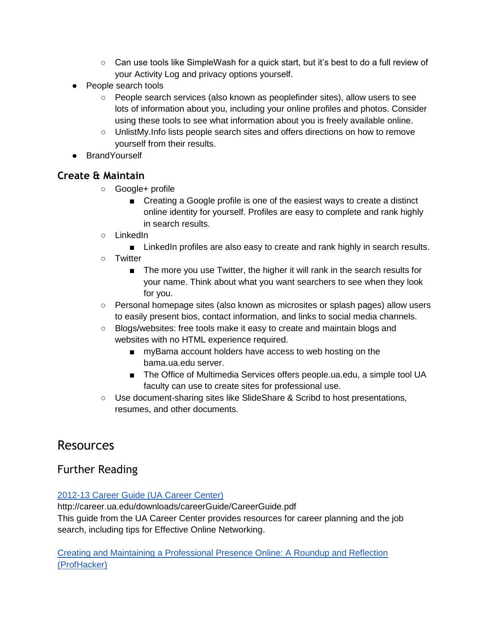- $\circ$  Can use tools like SimpleWash for a quick start, but it's best to do a full review of your Activity Log and privacy options yourself.
- People search tools
	- People search services (also known as peoplefinder sites), allow users to see lots of information about you, including your online profiles and photos. Consider using these tools to see what information about you is freely available online.
	- UnlistMy. Info lists people search sites and offers directions on how to remove yourself from their results.
- BrandYourself

## **Create & Maintain**

- Google+ profile
	- Creating a Google profile is one of the easiest ways to create a distinct online identity for yourself. Profiles are easy to complete and rank highly in search results.
- LinkedIn
	- LinkedIn profiles are also easy to create and rank highly in search results.
- Twitter
	- The more you use Twitter, the higher it will rank in the search results for your name. Think about what you want searchers to see when they look for you.
- Personal homepage sites (also known as microsites or splash pages) allow users to easily present bios, contact information, and links to social media channels.
- Blogs/websites: free tools make it easy to create and maintain blogs and websites with no HTML experience required.
	- myBama account holders have access to web hosting on the bama.ua.edu server.
	- The Office of Multimedia Services offers people.ua.edu, a simple tool UA faculty can use to create sites for professional use.
- Use document-sharing sites like SlideShare & Scribd to host presentations, resumes, and other documents.

# Resources

## Further Reading

## [2012-13 Career Guide \(UA Career Center\)](http://career.ua.edu/downloads/careerGuide/CareerGuide.pdf)

http://career.ua.edu/downloads/careerGuide/CareerGuide.pdf This guide from the UA Career Center provides resources for career planning and the job search, including tips for Effective Online Networking.

[Creating and Maintaining a Professional Presence Online: A Roundup and Reflection](http://chronicle.com/blogs/profhacker/creating-and-maintaining-a-professional-presence-online-a-roundup-and-reflection/43030)  [\(ProfHacker\)](http://chronicle.com/blogs/profhacker/creating-and-maintaining-a-professional-presence-online-a-roundup-and-reflection/43030)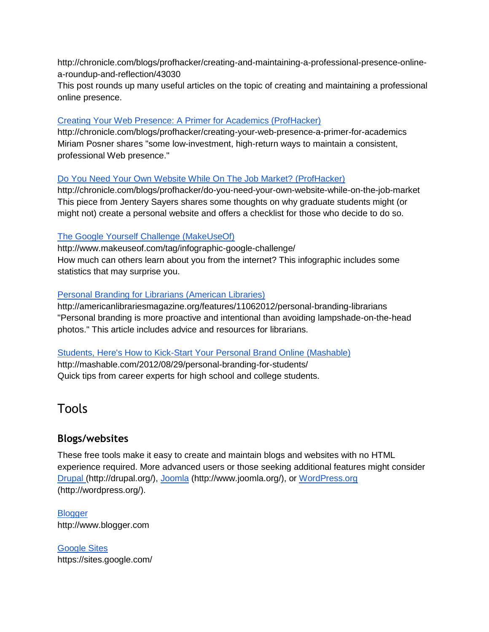http://chronicle.com/blogs/profhacker/creating-and-maintaining-a-professional-presence-onlinea-roundup-and-reflection/43030

This post rounds up many useful articles on the topic of creating and maintaining a professional online presence.

#### [Creating Your Web Presence: A Primer for Academics \(ProfHacker\)](http://chronicle.com/blogs/profhacker/creating-your-web-presence-a-primer-for-academics)

http://chronicle.com/blogs/profhacker/creating-your-web-presence-a-primer-for-academics Miriam Posner shares "some low-investment, high-return ways to maintain a consistent, professional Web presence."

#### [Do You Need Your Own Website While On The Job Market?](http://chronicle.com/blogs/profhacker/do-you-need-your-own-website-while-on-the-job-market) (ProfHacker)

http://chronicle.com/blogs/profhacker/do-you-need-your-own-website-while-on-the-job-market This piece from Jentery Sayers shares some thoughts on why graduate students might (or might not) create a personal website and offers a checklist for those who decide to do so.

#### [The Google Yourself Challenge \(MakeUseOf\)](http://www.makeuseof.com/tag/infographic-google-challenge/)

http://www.makeuseof.com/tag/infographic-google-challenge/ How much can others learn about you from the internet? This infographic includes some statistics that may surprise you.

#### [Personal Branding for Librarians](http://americanlibrariesmagazine.org/features/11062012/personal-branding-librarians) (American Libraries)

http://americanlibrariesmagazine.org/features/11062012/personal-branding-librarians "Personal branding is more proactive and intentional than avoiding lampshade-on-the-head photos." This article includes advice and resources for librarians.

#### [Students, Here's How to Kick-Start Your Personal Brand Online \(Mashable\)](http://mashable.com/2012/08/29/personal-branding-for-students/)

http://mashable.com/2012/08/29/personal-branding-for-students/ Quick tips from career experts for high school and college students.

## Tools

## **Blogs/websites**

These free tools make it easy to create and maintain blogs and websites with no HTML experience required. More advanced users or those seeking additional features might conside[r](http://drupal.org/) [Drupal](http://drupal.org/) (http://drupal.org/)[,](http://www.joomla.org/) [Joomla](http://www.joomla.org/) (http://www.joomla.org/), o[r](http://wordpress.org/) [WordPress.org](http://wordpress.org/) (http://wordpress.org/).

**[Blogger](http://www.blogger.com/)** http://www.blogger.com

[Google Sites](https://sites.google.com/) https://sites.google.com/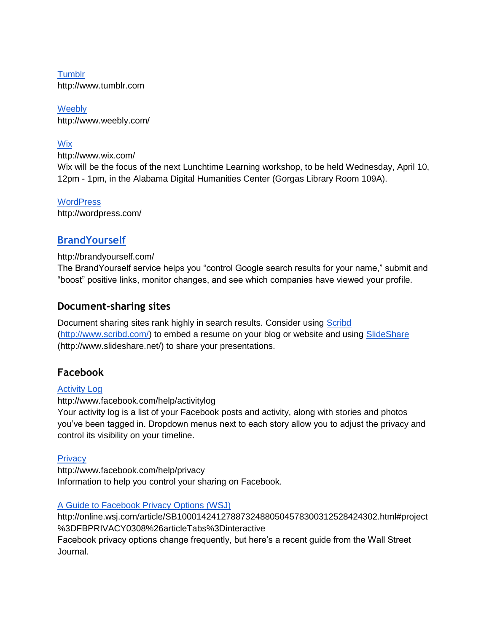**[Tumblr](http://www.tumblr.com/)** http://www.tumblr.com

**[Weebly](http://www.weebly.com/)** http://www.weebly.com/

## **[Wix](http://www.wix.com/)**

http://www.wix.com/

Wix will be the focus of the next Lunchtime Learning workshop, to be held Wednesday, April 10, 12pm - 1pm, in the Alabama Digital Humanities Center (Gorgas Library Room 109A).

#### **[WordPress](http://wordpress.com/)**

http://wordpress.com/

## **[BrandYourself](http://brandyourself.com/)**

#### http://brandyourself.com/

The BrandYourself service helps you "control Google search results for your name," submit and "boost" positive links, monitor changes, and see which companies have viewed your profile.

## **Document-sharing sites**

Document sharing sites rank highly in search results. Consider using [Scribd](http://www.scribd.com/) [\(http://www.scribd.com/\)](http://www.scribd.com/) to embed a resume on your blog or website and usin[g](http://www.slideshare.net/) [SlideShare](http://www.slideshare.net/) (http://www.slideshare.net/) to share your presentations.

## **Facebook**

#### [Activity Log](http://www.facebook.com/help/activitylog)

http://www.facebook.com/help/activitylog

Your activity log is a list of your Facebook posts and activity, along with stories and photos you've been tagged in. Dropdown menus next to each story allow you to adjust the privacy and control its visibility on your timeline.

#### **[Privacy](http://www.facebook.com/help/privacy)**

http://www.facebook.com/help/privacy Information to help you control your sharing on Facebook.

#### [A Guide to Facebook Privacy Options \(WSJ\)](http://online.wsj.com/article/SB10001424127887324880504578300312528424302.html#project%3DFBPRIVACY0308%26articleTabs%3Dinteractive)

http://online.wsj.com/article/SB10001424127887324880504578300312528424302.html#project %3DFBPRIVACY0308%26articleTabs%3Dinteractive

Facebook privacy options change frequently, but here's a recent guide from the Wall Street Journal.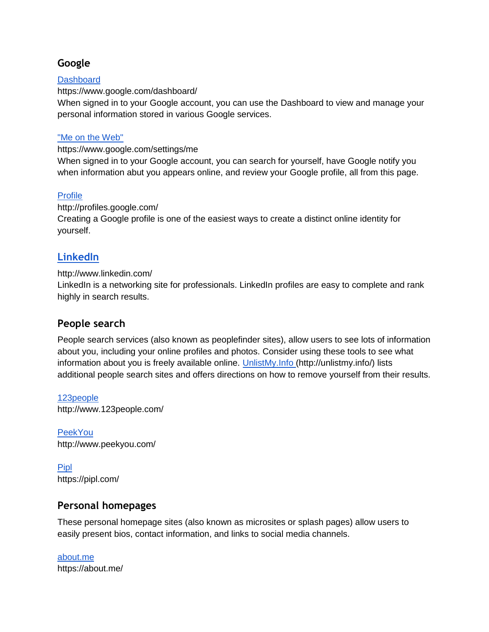## **Google**

#### **[Dashboard](https://www.google.com/dashboard/)**

https://www.google.com/dashboard/

When signed in to your Google account, you can use the Dashboard to view and manage your personal information stored in various Google services.

#### ["Me on the Web"](https://www.google.com/settings/me)

https://www.google.com/settings/me

When signed in to your Google account, you can search for yourself, have Google notify you when information abut you appears online, and review your Google profile, all from this page.

#### [Profile](http://profiles.google.com/)

http://profiles.google.com/ Creating a Google profile is one of the easiest ways to create a distinct online identity for yourself.

## **[LinkedIn](http://www.linkedin.com/)**

#### http://www.linkedin.com/

LinkedIn is a networking site for professionals. LinkedIn profiles are easy to complete and rank highly in search results.

#### **People search**

People search services (also known as peoplefinder sites), allow users to see lots of information about you, including your online profiles and photos. Consider using these tools to see what information about you is freely available online[.](http://unlistmy.info/) [UnlistMy.Info](http://unlistmy.info/) (http://unlistmy.info/) lists additional people search sites and offers directions on how to remove yourself from their results.

[123people](http://www.123people.com/) http://www.123people.com/

[PeekYou](http://www.peekyou.com/) http://www.peekyou.com/

[Pipl](https://pipl.com/) https://pipl.com/

## **Personal homepages**

These personal homepage sites (also known as microsites or splash pages) allow users to easily present bios, contact information, and links to social media channels.

[about.me](https://about.me/) https://about.me/